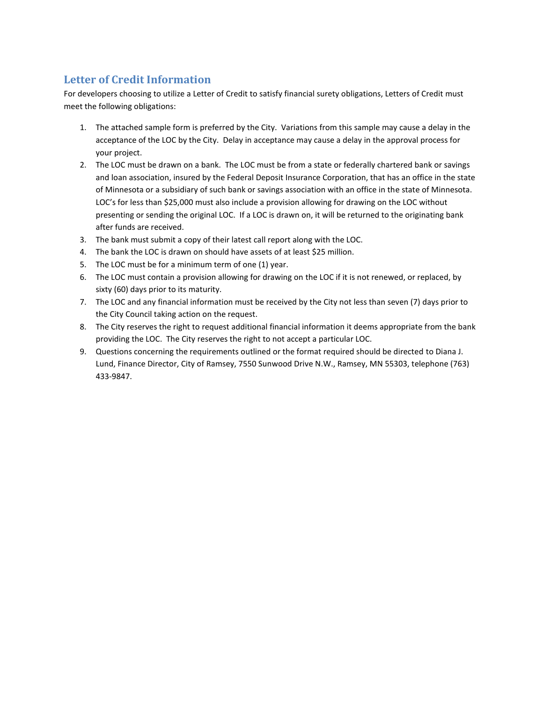## **Letter of Credit Information**

For developers choosing to utilize a Letter of Credit to satisfy financial surety obligations, Letters of Credit must meet the following obligations:

- 1. The attached sample form is preferred by the City. Variations from this sample may cause a delay in the acceptance of the LOC by the City. Delay in acceptance may cause a delay in the approval process for your project.
- 2. The LOC must be drawn on a bank. The LOC must be from a state or federally chartered bank or savings and loan association, insured by the Federal Deposit Insurance Corporation, that has an office in the state of Minnesota or a subsidiary of such bank or savings association with an office in the state of Minnesota. LOC's for less than \$25,000 must also include a provision allowing for drawing on the LOC without presenting or sending the original LOC. If a LOC is drawn on, it will be returned to the originating bank after funds are received.
- 3. The bank must submit a copy of their latest call report along with the LOC.
- 4. The bank the LOC is drawn on should have assets of at least \$25 million.
- 5. The LOC must be for a minimum term of one (1) year.
- 6. The LOC must contain a provision allowing for drawing on the LOC if it is not renewed, or replaced, by sixty (60) days prior to its maturity.
- 7. The LOC and any financial information must be received by the City not less than seven (7) days prior to the City Council taking action on the request.
- 8. The City reserves the right to request additional financial information it deems appropriate from the bank providing the LOC. The City reserves the right to not accept a particular LOC.
- 9. Questions concerning the requirements outlined or the format required should be directed to Diana J. Lund, Finance Director, City of Ramsey, 7550 Sunwood Drive N.W., Ramsey, MN 55303, telephone (763) 433-9847.